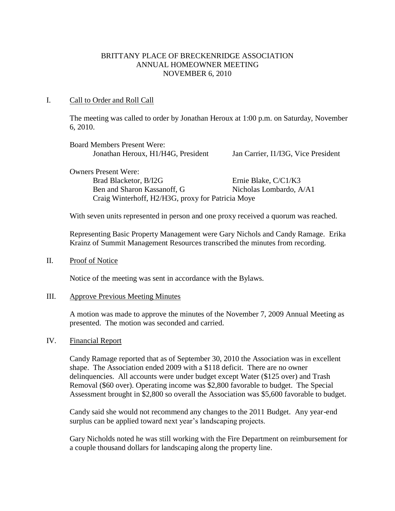# BRITTANY PLACE OF BRECKENRIDGE ASSOCIATION ANNUAL HOMEOWNER MEETING NOVEMBER 6, 2010

# I. Call to Order and Roll Call

The meeting was called to order by Jonathan Heroux at 1:00 p.m. on Saturday, November 6, 2010.

| <b>Board Members Present Were:</b>                                                                                                |                                     |
|-----------------------------------------------------------------------------------------------------------------------------------|-------------------------------------|
| Jonathan Heroux, H1/H4G, President                                                                                                | Jan Carrier, I1/I3G, Vice President |
| <b>Owners Present Were:</b>                                                                                                       |                                     |
| $\mathbf{A}$ $\mathbf{B}$ $\mathbf{A}$ $\mathbf{B}$ $\mathbf{A}$ $\mathbf{B}$ $\mathbf{A}$ $\mathbf{A}$ $\mathbf{A}$ $\mathbf{A}$ |                                     |

Brad Blacketor, B/I2G Ernie Blake, C/C1/K3 Ben and Sharon Kassanoff, G Nicholas Lombardo, A/A1 Craig Winterhoff, H2/H3G, proxy for Patricia Moye

With seven units represented in person and one proxy received a quorum was reached.

Representing Basic Property Management were Gary Nichols and Candy Ramage. Erika Krainz of Summit Management Resources transcribed the minutes from recording.

#### II. Proof of Notice

Notice of the meeting was sent in accordance with the Bylaws.

#### III. Approve Previous Meeting Minutes

A motion was made to approve the minutes of the November 7, 2009 Annual Meeting as presented. The motion was seconded and carried.

#### IV. Financial Report

Candy Ramage reported that as of September 30, 2010 the Association was in excellent shape. The Association ended 2009 with a \$118 deficit. There are no owner delinquencies. All accounts were under budget except Water (\$125 over) and Trash Removal (\$60 over). Operating income was \$2,800 favorable to budget. The Special Assessment brought in \$2,800 so overall the Association was \$5,600 favorable to budget.

Candy said she would not recommend any changes to the 2011 Budget. Any year-end surplus can be applied toward next year's landscaping projects.

Gary Nicholds noted he was still working with the Fire Department on reimbursement for a couple thousand dollars for landscaping along the property line.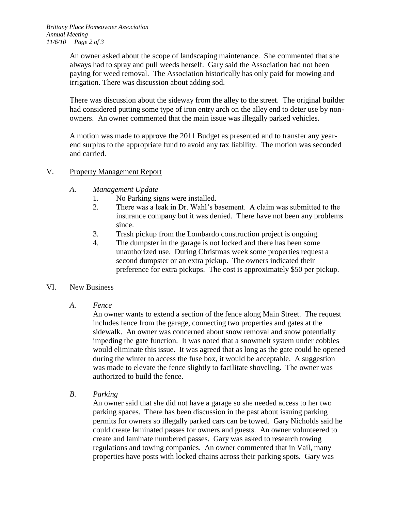An owner asked about the scope of landscaping maintenance. She commented that she always had to spray and pull weeds herself. Gary said the Association had not been paying for weed removal. The Association historically has only paid for mowing and irrigation. There was discussion about adding sod.

There was discussion about the sideway from the alley to the street. The original builder had considered putting some type of iron entry arch on the alley end to deter use by nonowners. An owner commented that the main issue was illegally parked vehicles.

A motion was made to approve the 2011 Budget as presented and to transfer any yearend surplus to the appropriate fund to avoid any tax liability. The motion was seconded and carried.

# V. Property Management Report

- *A. Management Update*
	- 1. No Parking signs were installed.
	- 2. There was a leak in Dr. Wahl's basement. A claim was submitted to the insurance company but it was denied. There have not been any problems since.
	- 3. Trash pickup from the Lombardo construction project is ongoing.
	- 4. The dumpster in the garage is not locked and there has been some unauthorized use. During Christmas week some properties request a second dumpster or an extra pickup. The owners indicated their preference for extra pickups. The cost is approximately \$50 per pickup.

# VI. New Business

*A. Fence*

An owner wants to extend a section of the fence along Main Street. The request includes fence from the garage, connecting two properties and gates at the sidewalk. An owner was concerned about snow removal and snow potentially impeding the gate function. It was noted that a snowmelt system under cobbles would eliminate this issue. It was agreed that as long as the gate could be opened during the winter to access the fuse box, it would be acceptable. A suggestion was made to elevate the fence slightly to facilitate shoveling. The owner was authorized to build the fence.

*B. Parking*

An owner said that she did not have a garage so she needed access to her two parking spaces. There has been discussion in the past about issuing parking permits for owners so illegally parked cars can be towed. Gary Nicholds said he could create laminated passes for owners and guests. An owner volunteered to create and laminate numbered passes. Gary was asked to research towing regulations and towing companies. An owner commented that in Vail, many properties have posts with locked chains across their parking spots. Gary was